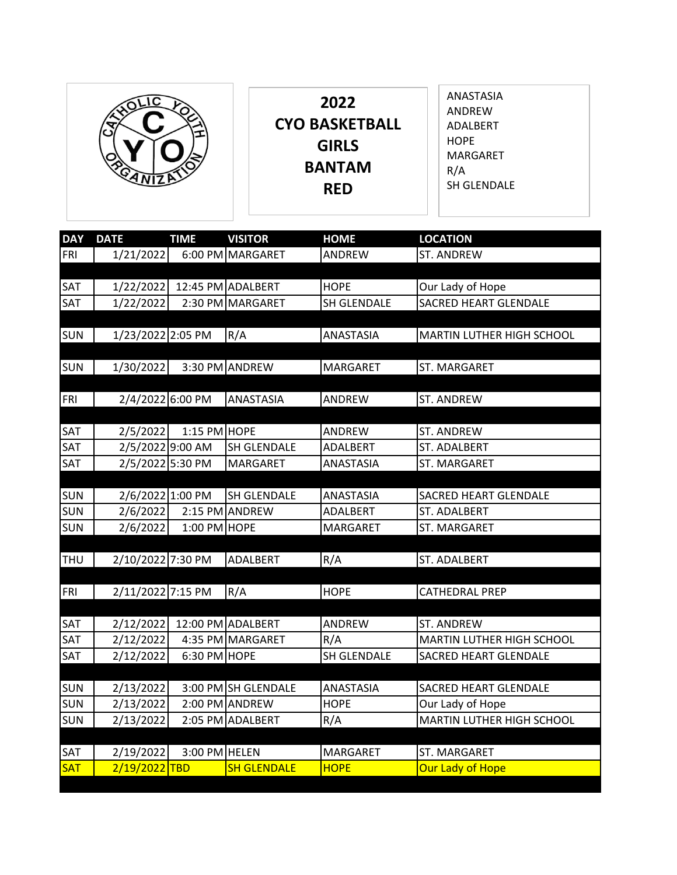

**2022 CYO BASKETBALL GIRLS BANTAM RED**

ANASTASIA ANDREW ADALBERT HOPE MARGARET R/A SH GLENDALE

| <b>DAY</b> | <b>DATE</b>       | <b>TIME</b>    | <b>VISITOR</b>      | <b>HOME</b>      | <b>LOCATION</b>              |
|------------|-------------------|----------------|---------------------|------------------|------------------------------|
| FRI        | 1/21/2022         |                | 6:00 PM MARGARET    | ANDREW           | ST. ANDREW                   |
|            |                   |                |                     |                  |                              |
| SAT        | 1/22/2022         |                | 12:45 PM ADALBERT   | <b>HOPE</b>      | Our Lady of Hope             |
| SAT        | 1/22/2022         |                | 2:30 PM MARGARET    | SH GLENDALE      | <b>SACRED HEART GLENDALE</b> |
|            |                   |                |                     |                  |                              |
| <b>SUN</b> | 1/23/2022 2:05 PM |                | R/A                 | ANASTASIA        | MARTIN LUTHER HIGH SCHOOL    |
|            |                   |                |                     |                  |                              |
| <b>SUN</b> | 1/30/2022         |                | 3:30 PM ANDREW      | MARGARET         | ST. MARGARET                 |
|            |                   |                |                     |                  |                              |
| FRI        | 2/4/2022 6:00 PM  |                | <b>ANASTASIA</b>    | ANDREW           | ST. ANDREW                   |
| <b>SAT</b> | 2/5/2022          | $1:15$ PM HOPE |                     | ANDREW           | ST. ANDREW                   |
| SAT        | 2/5/2022 9:00 AM  |                | SH GLENDALE         | ADALBERT         | ST. ADALBERT                 |
| SAT        | 2/5/2022 5:30 PM  |                | <b>MARGARET</b>     | ANASTASIA        | ST. MARGARET                 |
|            |                   |                |                     |                  |                              |
| <b>SUN</b> | 2/6/2022 1:00 PM  |                | <b>SH GLENDALE</b>  | ANASTASIA        | <b>SACRED HEART GLENDALE</b> |
| <b>SUN</b> | 2/6/2022          |                | 2:15 PM ANDREW      | ADALBERT         | <b>ST. ADALBERT</b>          |
| <b>SUN</b> | 2/6/2022          | 1:00 PM        | <b>HOPE</b>         | MARGARET         | ST. MARGARET                 |
|            |                   |                |                     |                  |                              |
| <b>THU</b> | 2/10/2022 7:30 PM |                | ADALBERT            | R/A              | ST. ADALBERT                 |
|            |                   |                |                     |                  |                              |
| <b>FRI</b> | 2/11/2022 7:15 PM |                | R/A                 | <b>HOPE</b>      | CATHEDRAL PREP               |
|            |                   |                |                     |                  |                              |
| SAT        | 2/12/2022         |                | 12:00 PM ADALBERT   | ANDREW           | ST. ANDREW                   |
| SAT        | 2/12/2022         |                | 4:35 PM MARGARET    | R/A              | MARTIN LUTHER HIGH SCHOOL    |
| <b>SAT</b> | 2/12/2022         | 6:30 PM HOPE   |                     | SH GLENDALE      | SACRED HEART GLENDALE        |
|            |                   |                |                     |                  |                              |
| <b>SUN</b> | 2/13/2022         |                | 3:00 PM SH GLENDALE | <b>ANASTASIA</b> | <b>SACRED HEART GLENDALE</b> |
| <b>SUN</b> | 2/13/2022         |                | 2:00 PM ANDREW      | <b>HOPE</b>      | Our Lady of Hope             |
| <b>SUN</b> | 2/13/2022         |                | 2:05 PM ADALBERT    | R/A              | MARTIN LUTHER HIGH SCHOOL    |
|            |                   |                |                     |                  |                              |
| SAT        | 2/19/2022         | 3:00 PM HELEN  |                     | MARGARET         | ST. MARGARET                 |
| <b>SAT</b> | 2/19/2022 TBD     |                | <b>SH GLENDALE</b>  | <b>HOPE</b>      | Our Lady of Hope             |